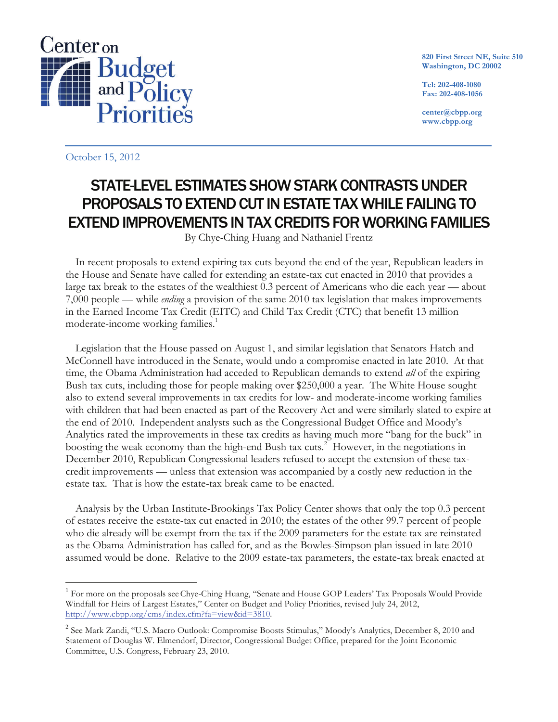

**820 First Street NE, Suite 510 Washington, DC 20002**

**Tel: 202-408-1080 Fax: 202-408-1056**

**center@cbpp.org www.cbpp.org**

October 15, 2012

-

# STATE-LEVEL ESTIMATES SHOW STARK CONTRASTS UNDER PROPOSALS TO EXTEND CUT IN ESTATE TAX WHILE FAILING TO EXTEND IMPROVEMENTS IN TAX CREDITS FOR WORKING FAMILIES

By Chye-Ching Huang and Nathaniel Frentz

In recent proposals to extend expiring tax cuts beyond the end of the year, Republican leaders in the House and Senate have called for extending an estate-tax cut enacted in 2010 that provides a large tax break to the estates of the wealthiest 0.3 percent of Americans who die each year — about 7,000 people — while *ending* a provision of the same 2010 tax legislation that makes improvements in the Earned Income Tax Credit (EITC) and Child Tax Credit (CTC) that benefit 13 million moderate-income working families. 1

Legislation that the House passed on August 1, and similar legislation that Senators Hatch and McConnell have introduced in the Senate, would undo a compromise enacted in late 2010. At that time, the Obama Administration had acceded to Republican demands to extend *all* of the expiring Bush tax cuts, including those for people making over \$250,000 a year. The White House sought also to extend several improvements in tax credits for low- and moderate-income working families with children that had been enacted as part of the Recovery Act and were similarly slated to expire at the end of 2010. Independent analysts such as the Congressional Budget Office and Moody's Analytics rated the improvements in these tax credits as having much more "bang for the buck" in boosting the weak economy than the high-end Bush tax cuts.<sup>2</sup> However, in the negotiations in December 2010, Republican Congressional leaders refused to accept the extension of these taxcredit improvements — unless that extension was accompanied by a costly new reduction in the estate tax. That is how the estate-tax break came to be enacted.

Analysis by the Urban Institute-Brookings Tax Policy Center shows that only the top 0.3 percent of estates receive the estate-tax cut enacted in 2010; the estates of the other 99.7 percent of people who die already will be exempt from the tax if the 2009 parameters for the estate tax are reinstated as the Obama Administration has called for, and as the Bowles-Simpson plan issued in late 2010 assumed would be done. Relative to the 2009 estate-tax parameters, the estate-tax break enacted at

<sup>&</sup>lt;sup>1</sup> For more on the proposals see Chye-Ching Huang, "Senate and House GOP Leaders' Tax Proposals Would Provide Windfall for Heirs of Largest Estates," Center on Budget and Policy Priorities, revised July 24, 2012, http://www.cbpp.org/cms/index.cfm?fa=view&id=3810.

<sup>&</sup>lt;sup>2</sup> See Mark Zandi, "U.S. Macro Outlook: Compromise Boosts Stimulus," Moody's Analytics, December 8, 2010 and Statement of Douglas W. Elmendorf, Director, Congressional Budget Office, prepared for the Joint Economic Committee, U.S. Congress, February 23, 2010.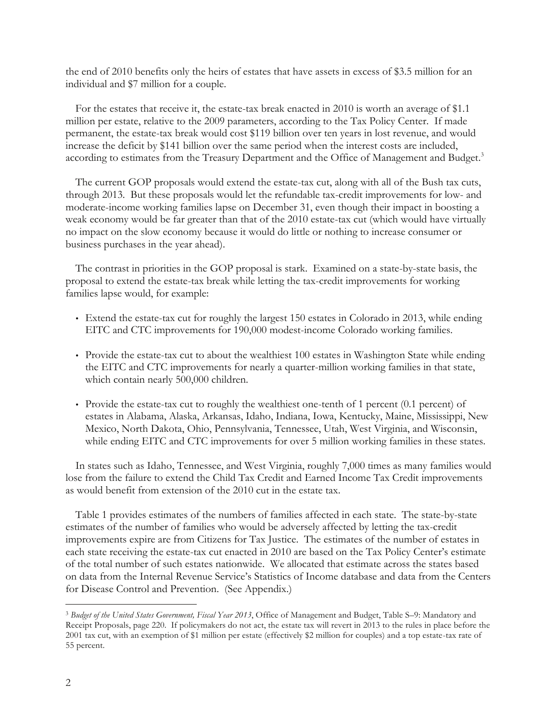the end of 2010 benefits only the heirs of estates that have assets in excess of \$3.5 million for an individual and \$7 million for a couple.

For the estates that receive it, the estate-tax break enacted in 2010 is worth an average of \$1.1 million per estate, relative to the 2009 parameters, according to the Tax Policy Center. If made permanent, the estate-tax break would cost \$119 billion over ten years in lost revenue, and would increase the deficit by \$141 billion over the same period when the interest costs are included, according to estimates from the Treasury Department and the Office of Management and Budget.<sup>3</sup>

The current GOP proposals would extend the estate-tax cut, along with all of the Bush tax cuts, through 2013. But these proposals would let the refundable tax-credit improvements for low- and moderate-income working families lapse on December 31, even though their impact in boosting a weak economy would be far greater than that of the 2010 estate-tax cut (which would have virtually no impact on the slow economy because it would do little or nothing to increase consumer or business purchases in the year ahead).

The contrast in priorities in the GOP proposal is stark. Examined on a state-by-state basis, the proposal to extend the estate-tax break while letting the tax-credit improvements for working families lapse would, for example:

- Extend the estate-tax cut for roughly the largest 150 estates in Colorado in 2013, while ending EITC and CTC improvements for 190,000 modest-income Colorado working families.
- Provide the estate-tax cut to about the wealthiest 100 estates in Washington State while ending the EITC and CTC improvements for nearly a quarter-million working families in that state, which contain nearly 500,000 children.
- Provide the estate-tax cut to roughly the wealthiest one-tenth of 1 percent (0.1 percent) of estates in Alabama, Alaska, Arkansas, Idaho, Indiana, Iowa, Kentucky, Maine, Mississippi, New Mexico, North Dakota, Ohio, Pennsylvania, Tennessee, Utah, West Virginia, and Wisconsin, while ending EITC and CTC improvements for over 5 million working families in these states.

In states such as Idaho, Tennessee, and West Virginia, roughly 7,000 times as many families would lose from the failure to extend the Child Tax Credit and Earned Income Tax Credit improvements as would benefit from extension of the 2010 cut in the estate tax.

Table 1 provides estimates of the numbers of families affected in each state. The state-by-state estimates of the number of families who would be adversely affected by letting the tax-credit improvements expire are from Citizens for Tax Justice. The estimates of the number of estates in each state receiving the estate-tax cut enacted in 2010 are based on the Tax Policy Center's estimate of the total number of such estates nationwide. We allocated that estimate across the states based on data from the Internal Revenue Service's Statistics of Income database and data from the Centers for Disease Control and Prevention. (See Appendix.)

 <sup>3</sup> *Budget of the United States Government, Fiscal Year 2013*, Office of Management and Budget, Table S–9: Mandatory and Receipt Proposals, page 220. If policymakers do not act, the estate tax will revert in 2013 to the rules in place before the 2001 tax cut, with an exemption of \$1 million per estate (effectively \$2 million for couples) and a top estate-tax rate of 55 percent.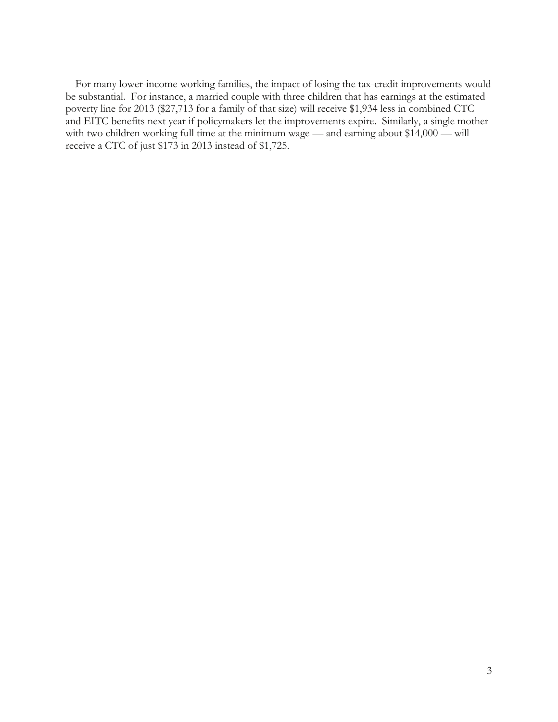For many lower-income working families, the impact of losing the tax-credit improvements would be substantial. For instance, a married couple with three children that has earnings at the estimated poverty line for 2013 (\$27,713 for a family of that size) will receive \$1,934 less in combined CTC and EITC benefits next year if policymakers let the improvements expire. Similarly, a single mother with two children working full time at the minimum wage — and earning about \$14,000 — will receive a CTC of just \$173 in 2013 instead of \$1,725.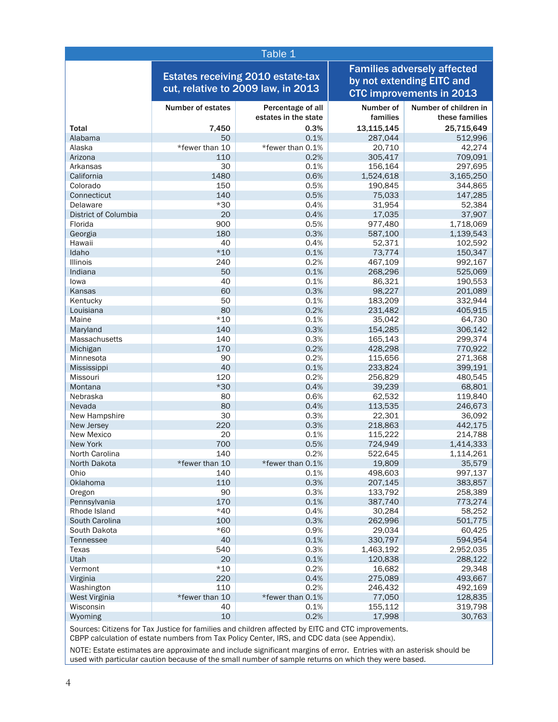| Table 1              |                                                                                |                      |                                                                                                    |                       |
|----------------------|--------------------------------------------------------------------------------|----------------------|----------------------------------------------------------------------------------------------------|-----------------------|
|                      | <b>Estates receiving 2010 estate-tax</b><br>cut, relative to 2009 law, in 2013 |                      | <b>Families adversely affected</b><br>by not extending EITC and<br><b>CTC improvements in 2013</b> |                       |
|                      | <b>Number of estates</b>                                                       | Percentage of all    | Number of                                                                                          | Number of children in |
|                      |                                                                                | estates in the state | families                                                                                           | these families        |
| <b>Total</b>         | 7,450                                                                          | 0.3%                 | 13,115,145                                                                                         | 25,715,649            |
| Alabama              | 50                                                                             | 0.1%                 | 287,044                                                                                            | 512,996               |
| Alaska<br>Arizona    | *fewer than 10                                                                 | *fewer than 0.1%     | 20,710                                                                                             | 42,274                |
| Arkansas             | 110<br>30                                                                      | 0.2%<br>0.1%         | 305,417<br>156,164                                                                                 | 709,091<br>297,695    |
| California           | 1480                                                                           | 0.6%                 |                                                                                                    |                       |
| Colorado             | 150                                                                            | 0.5%                 | 1,524,618                                                                                          | 3,165,250             |
| Connecticut          | 140                                                                            | 0.5%                 | 190,845<br>75,033                                                                                  | 344,865<br>147,285    |
| Delaware             | $*30$                                                                          | 0.4%                 | 31,954                                                                                             | 52,384                |
| District of Columbia | 20                                                                             | 0.4%                 | 17,035                                                                                             | 37,907                |
| Florida              | 900                                                                            | 0.5%                 | 977,480                                                                                            | 1,718,069             |
| Georgia              | 180                                                                            | 0.3%                 | 587,100                                                                                            | 1,139,543             |
| Hawaii               | 40                                                                             | 0.4%                 | 52,371                                                                                             | 102,592               |
| Idaho                | $*10$                                                                          | 0.1%                 | 73,774                                                                                             | 150,347               |
| <b>Illinois</b>      | 240                                                                            | 0.2%                 | 467,109                                                                                            | 992,167               |
| Indiana              | 50                                                                             | 0.1%                 | 268,296                                                                                            | 525,069               |
| lowa                 | 40                                                                             | 0.1%                 | 86,321                                                                                             | 190,553               |
| Kansas               | 60                                                                             | 0.3%                 | 98,227                                                                                             | 201,089               |
| Kentucky             | 50                                                                             | 0.1%                 | 183,209                                                                                            | 332,944               |
| Louisiana            | 80                                                                             | 0.2%                 | 231,482                                                                                            | 405,915               |
| Maine                | $*10$                                                                          | 0.1%                 | 35,042                                                                                             | 64,730                |
| Maryland             | 140                                                                            | 0.3%                 | 154,285                                                                                            | 306,142               |
| Massachusetts        | 140                                                                            | 0.3%                 | 165,143                                                                                            | 299,374               |
| Michigan             | 170                                                                            | 0.2%                 | 428,298                                                                                            | 770,922               |
| Minnesota            | 90                                                                             | 0.2%                 | 115,656                                                                                            | 271,368               |
| Mississippi          | 40                                                                             | 0.1%                 | 233,824                                                                                            | 399,191               |
| Missouri             | 120                                                                            | 0.2%                 | 256,829                                                                                            | 480,545               |
| Montana              | $*30$                                                                          | 0.4%                 | 39,239                                                                                             | 68,801                |
| Nebraska             | 80                                                                             | 0.6%                 | 62,532                                                                                             | 119,840               |
| Nevada               | 80                                                                             | 0.4%                 | 113.535                                                                                            | 246,673               |
| New Hampshire        | 30                                                                             | 0.3%                 | 22,301                                                                                             | 36,092                |
| New Jersey           | 220                                                                            | 0.3%                 | 218,863                                                                                            | 442,175               |
| New Mexico           | 20                                                                             | 0.1%                 | 115,222                                                                                            | 214,788               |
| <b>New York</b>      | 700                                                                            | 0.5%                 | 724,949                                                                                            | 1,414,333             |
| North Carolina       | 140                                                                            | 0.2%                 | 522,645                                                                                            | 1,114,261             |
| North Dakota         | *fewer than 10                                                                 | *fewer than 0.1%     | 19,809                                                                                             | 35,579                |
| Ohio                 | 140                                                                            | 0.1%                 | 498,603                                                                                            | 997,137               |
| Oklahoma             | 110                                                                            | 0.3%                 | 207,145                                                                                            | 383,857               |
| Oregon               | 90                                                                             | 0.3%                 | 133,792                                                                                            | 258,389               |
| Pennsylvania         | 170                                                                            | 0.1%                 | 387,740                                                                                            | 773,274               |
| Rhode Island         | $*40$                                                                          | 0.4%                 | 30,284                                                                                             | 58,252                |
| South Carolina       | 100                                                                            | 0.3%                 | 262,996                                                                                            | 501,775               |
| South Dakota         | $*60$                                                                          | 0.9%                 | 29,034                                                                                             | 60,425                |
| Tennessee            | 40                                                                             | 0.1%                 | 330,797                                                                                            | 594,954               |
| Texas                | 540                                                                            | 0.3%                 | 1,463,192                                                                                          | 2,952,035             |
| Utah                 | 20                                                                             | 0.1%                 | 120.838                                                                                            | 288,122               |
| Vermont              | $*10$                                                                          | 0.2%                 | 16,682                                                                                             | 29,348                |
| Virginia             | 220                                                                            | 0.4%                 | 275,089                                                                                            | 493,667               |
| Washington           | 110                                                                            | 0.2%                 | 246,432                                                                                            | 492,169               |
| West Virginia        | *fewer than 10                                                                 | *fewer than 0.1%     | 77,050                                                                                             | 128,835               |
| Wisconsin            | 40                                                                             | 0.1%                 | 155,112                                                                                            | 319,798               |
| Wyoming              | 10                                                                             | 0.2%                 | 17,998                                                                                             | 30,763                |

Sources: Citizens for Tax Justice for families and children affected by EITC and CTC improvements.

CBPP calculation of estate numbers from Tax Policy Center, IRS, and CDC data (see Appendix).

NOTE: Estate estimates are approximate and include significant margins of error. Entries with an asterisk should be used with particular caution because of the small number of sample returns on which they were based.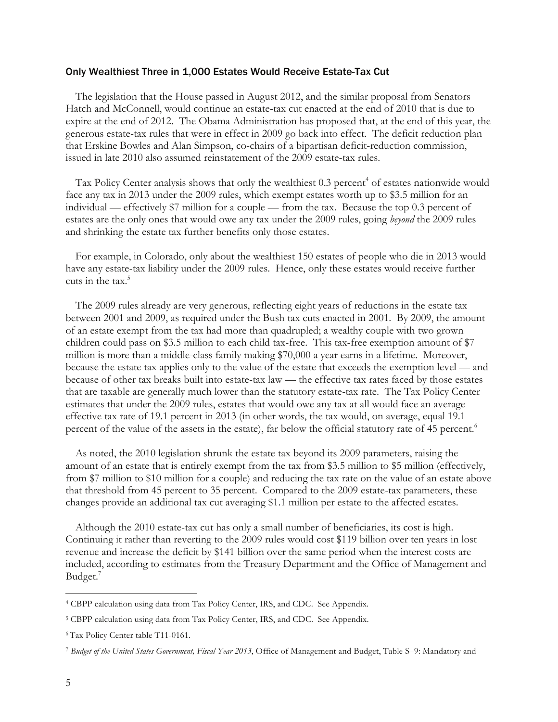#### Only Wealthiest Three in 1,000 Estates Would Receive Estate-Tax Cut

The legislation that the House passed in August 2012, and the similar proposal from Senators Hatch and McConnell, would continue an estate-tax cut enacted at the end of 2010 that is due to expire at the end of 2012. The Obama Administration has proposed that, at the end of this year, the generous estate-tax rules that were in effect in 2009 go back into effect. The deficit reduction plan that Erskine Bowles and Alan Simpson, co-chairs of a bipartisan deficit-reduction commission, issued in late 2010 also assumed reinstatement of the 2009 estate-tax rules.

Tax Policy Center analysis shows that only the wealthiest 0.3 percent<sup>4</sup> of estates nationwide would face any tax in 2013 under the 2009 rules, which exempt estates worth up to \$3.5 million for an individual — effectively \$7 million for a couple — from the tax. Because the top 0.3 percent of estates are the only ones that would owe any tax under the 2009 rules, going *beyond* the 2009 rules and shrinking the estate tax further benefits only those estates.

For example, in Colorado, only about the wealthiest 150 estates of people who die in 2013 would have any estate-tax liability under the 2009 rules. Hence, only these estates would receive further cuts in the tax. 5

The 2009 rules already are very generous, reflecting eight years of reductions in the estate tax between 2001 and 2009, as required under the Bush tax cuts enacted in 2001. By 2009, the amount of an estate exempt from the tax had more than quadrupled; a wealthy couple with two grown children could pass on \$3.5 million to each child tax-free. This tax-free exemption amount of \$7 million is more than a middle-class family making \$70,000 a year earns in a lifetime. Moreover, because the estate tax applies only to the value of the estate that exceeds the exemption level — and because of other tax breaks built into estate-tax law — the effective tax rates faced by those estates that are taxable are generally much lower than the statutory estate-tax rate. The Tax Policy Center estimates that under the 2009 rules, estates that would owe any tax at all would face an average effective tax rate of 19.1 percent in 2013 (in other words, the tax would, on average, equal 19.1 percent of the value of the assets in the estate), far below the official statutory rate of 45 percent.<sup>6</sup>

As noted, the 2010 legislation shrunk the estate tax beyond its 2009 parameters, raising the amount of an estate that is entirely exempt from the tax from \$3.5 million to \$5 million (effectively, from \$7 million to \$10 million for a couple) and reducing the tax rate on the value of an estate above that threshold from 45 percent to 35 percent. Compared to the 2009 estate-tax parameters, these changes provide an additional tax cut averaging \$1.1 million per estate to the affected estates.

Although the 2010 estate-tax cut has only a small number of beneficiaries, its cost is high. Continuing it rather than reverting to the 2009 rules would cost \$119 billion over ten years in lost revenue and increase the deficit by \$141 billion over the same period when the interest costs are included, according to estimates from the Treasury Department and the Office of Management and Budget. 7

 <sup>4</sup> CBPP calculation using data from Tax Policy Center, IRS, and CDC. See Appendix.

<sup>5</sup> CBPP calculation using data from Tax Policy Center, IRS, and CDC. See Appendix.

<sup>6</sup> Tax Policy Center table T11-0161.

<sup>7</sup> *Budget of the United States Government, Fiscal Year 2013*, Office of Management and Budget, Table S–9: Mandatory and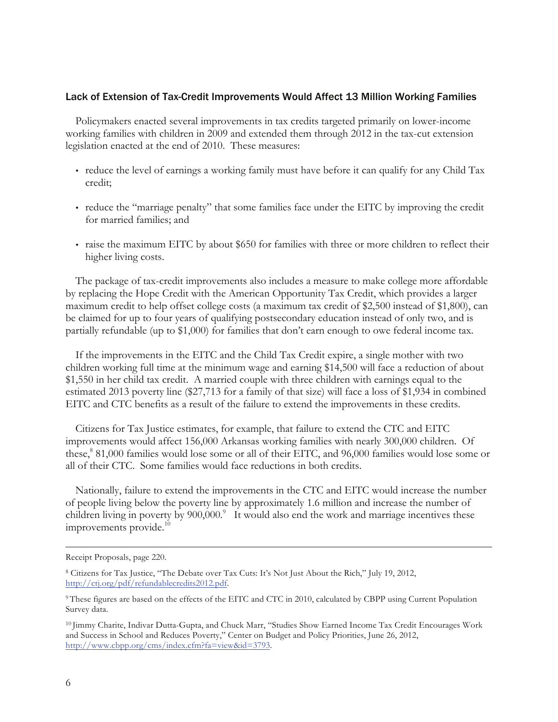## Lack of Extension of Tax-Credit Improvements Would Affect 13 Million Working Families

Policymakers enacted several improvements in tax credits targeted primarily on lower-income working families with children in 2009 and extended them through 2012 in the tax-cut extension legislation enacted at the end of 2010. These measures:

- reduce the level of earnings a working family must have before it can qualify for any Child Tax credit;
- reduce the "marriage penalty" that some families face under the EITC by improving the credit for married families; and
- raise the maximum EITC by about \$650 for families with three or more children to reflect their higher living costs.

The package of tax-credit improvements also includes a measure to make college more affordable by replacing the Hope Credit with the American Opportunity Tax Credit, which provides a larger maximum credit to help offset college costs (a maximum tax credit of \$2,500 instead of \$1,800), can be claimed for up to four years of qualifying postsecondary education instead of only two, and is partially refundable (up to \$1,000) for families that don't earn enough to owe federal income tax.

If the improvements in the EITC and the Child Tax Credit expire, a single mother with two children working full time at the minimum wage and earning \$14,500 will face a reduction of about \$1,550 in her child tax credit. A married couple with three children with earnings equal to the estimated 2013 poverty line (\$27,713 for a family of that size) will face a loss of \$1,934 in combined EITC and CTC benefits as a result of the failure to extend the improvements in these credits.

Citizens for Tax Justice estimates, for example, that failure to extend the CTC and EITC improvements would affect 156,000 Arkansas working families with nearly 300,000 children. Of these, <sup>8</sup> 81,000 families would lose some or all of their EITC, and 96,000 families would lose some or all of their CTC. Some families would face reductions in both credits.

Nationally, failure to extend the improvements in the CTC and EITC would increase the number of people living below the poverty line by approximately 1.6 million and increase the number of children living in poverty by 900,000.<sup>9</sup> It would also end the work and marriage incentives these improvements provide. 10

Receipt Proposals, page 220.

<sup>8</sup> Citizens for Tax Justice, "The Debate over Tax Cuts: It's Not Just About the Rich," July 19, 2012, http://ctj.org/pdf/refundablecredits2012.pdf.

<sup>&</sup>lt;sup>9</sup> These figures are based on the effects of the EITC and CTC in 2010, calculated by CBPP using Current Population Survey data.

<sup>10</sup> Jimmy Charite, Indivar Dutta-Gupta, and Chuck Marr, "Studies Show Earned Income Tax Credit Encourages Work and Success in School and Reduces Poverty," Center on Budget and Policy Priorities, June 26, 2012, http://www.cbpp.org/cms/index.cfm?fa=view&id=3793.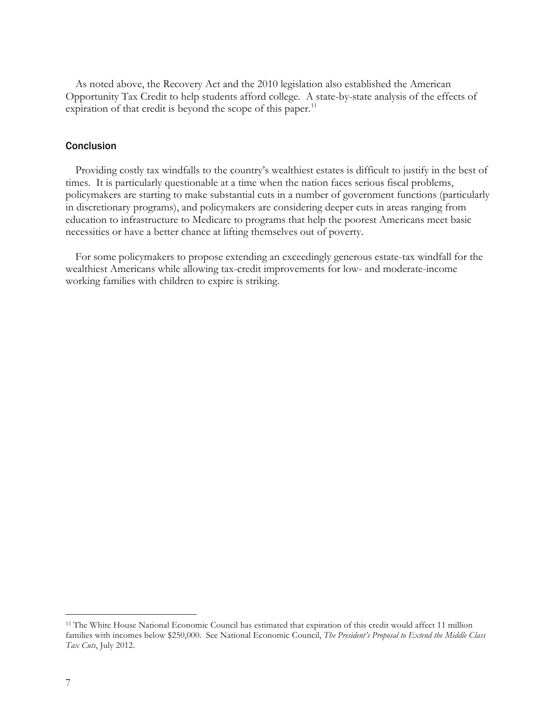As noted above, the Recovery Act and the 2010 legislation also established the American Opportunity Tax Credit to help students afford college. A state-by-state analysis of the effects of expiration of that credit is beyond the scope of this paper. $11$ 

### **Conclusion**

Providing costly tax windfalls to the country's wealthiest estates is difficult to justify in the best of times. It is particularly questionable at a time when the nation faces serious fiscal problems, policymakers are starting to make substantial cuts in a number of government functions (particularly in discretionary programs), and policymakers are considering deeper cuts in areas ranging from education to infrastructure to Medicare to programs that help the poorest Americans meet basic necessities or have a better chance at lifting themselves out of poverty.

For some policymakers to propose extending an exceedingly generous estate-tax windfall for the wealthiest Americans while allowing tax-credit improvements for low- and moderate-income working families with children to expire is striking.

 <sup>11</sup> The White House National Economic Council has estimated that expiration of this credit would affect 11 million families with incomes below \$250,000. See National Economic Council, *The President's Proposal to Extend the Middle Class Tax Cuts*, July 2012.